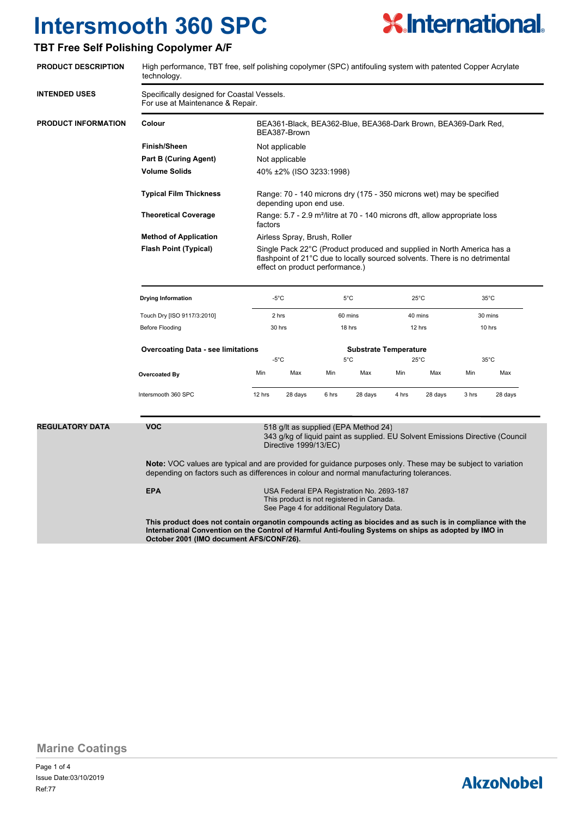### **TBT Free Self Polishing Copolymer A/F**



**Marine Coatings**

Page 1 of 4 Ref:77 Issue Date:03/10/2019

**AkzoNobel** 

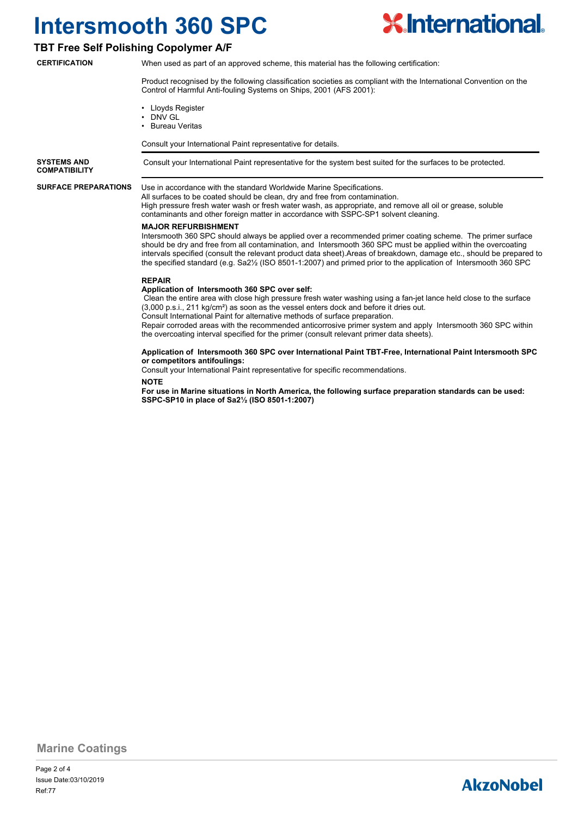

#### **TBT Free Self Polishing Copolymer A/F**

**CERTIFICATION**

When used as part of an approved scheme, this material has the following certification:

Product recognised by the following classification societies as compliant with the International Convention on the Control of Harmful Anti-fouling Systems on Ships, 2001 (AFS 2001):

- Lloyds Register
- DNV GL
- Bureau Veritas

Consult your International Paint representative for details.

**SYSTEMS AND** Consult your International Paint representative for the system best suited for the surfaces to be protected. **COMPATIBILITY**

**SURFACE PREPARATIONS**

#### Use in accordance with the standard Worldwide Marine Specifications.

All surfaces to be coated should be clean, dry and free from contamination. High pressure fresh water wash or fresh water wash, as appropriate, and remove all oil or grease, soluble contaminants and other foreign matter in accordance with SSPC-SP1 solvent cleaning.

#### **MAJOR REFURBISHMENT**

Intersmooth 360 SPC should always be applied over a recommended primer coating scheme. The primer surface should be dry and free from all contamination, and Intersmooth 360 SPC must be applied within the overcoating intervals specified (consult the relevant product data sheet).Areas of breakdown, damage etc., should be prepared to the specified standard (e.g. Sa2½ (ISO 8501-1:2007) and primed prior to the application of Intersmooth 360 SPC

#### **REPAIR**

#### **Application of Intersmooth 360 SPC over self:**

 Clean the entire area with close high pressure fresh water washing using a fan-jet lance held close to the surface (3,000 p.s.i., 211 kg/cm²) as soon as the vessel enters dock and before it dries out.

Consult International Paint for alternative methods of surface preparation.

Repair corroded areas with the recommended anticorrosive primer system and apply Intersmooth 360 SPC within the overcoating interval specified for the primer (consult relevant primer data sheets).

#### **Application of Intersmooth 360 SPC over International Paint TBT-Free, International Paint Intersmooth SPC or competitors antifoulings:**

Consult your International Paint representative for specific recommendations.

#### **NOTE**

**For use in Marine situations in North America, the following surface preparation standards can be used: SSPC-SP10 in place of Sa2½ (ISO 8501-1:2007)**

#### **Marine Coatings**

### **AkzoNobel**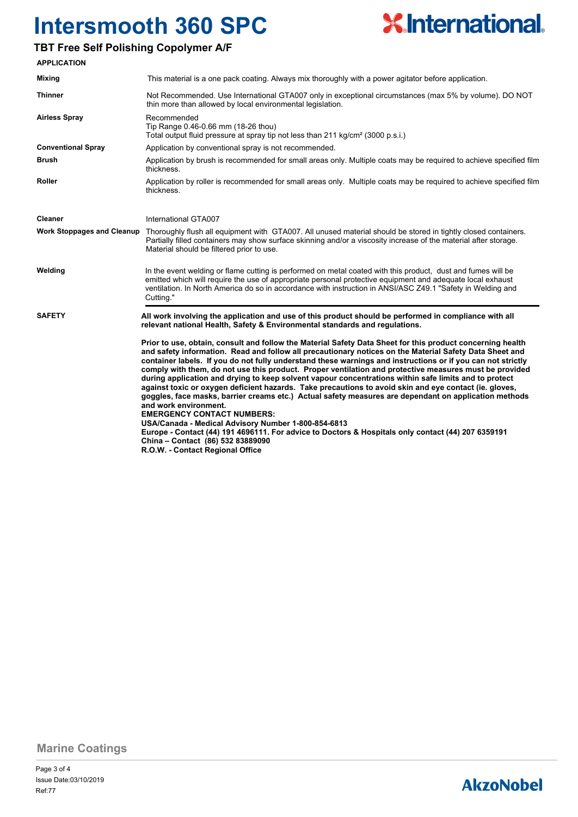### **TBT Free Self Polishing Copolymer A/F**



**Marine Coatings**

## **AkzoNobel**

**X** International.